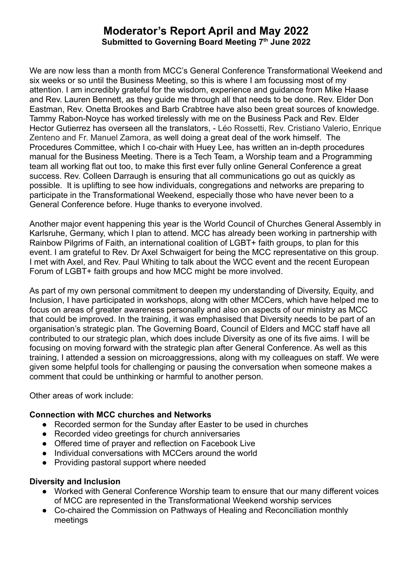# **Moderator's Report April and May 2022 Submitted to Governing Board Meeting 7th June 2022**

We are now less than a month from MCC's General Conference Transformational Weekend and six weeks or so until the Business Meeting, so this is where I am focussing most of my attention. I am incredibly grateful for the wisdom, experience and guidance from Mike Haase and Rev. Lauren Bennett, as they guide me through all that needs to be done. Rev. Elder Don Eastman, Rev. Onetta Brookes and Barb Crabtree have also been great sources of knowledge. Tammy Rabon-Noyce has worked tirelessly with me on the Business Pack and Rev. Elder Hector Gutierrez has overseen all the translators, - Léo Rossetti, Rev. Cristiano Valerio, Enrique Zenteno and Fr. Manuel Zamora, as well doing a great deal of the work himself. The Procedures Committee, which I co-chair with Huey Lee, has written an in-depth procedures manual for the Business Meeting. There is a Tech Team, a Worship team and a Programming team all working flat out too, to make this first ever fully online General Conference a great success. Rev. Colleen Darraugh is ensuring that all communications go out as quickly as possible. It is uplifting to see how individuals, congregations and networks are preparing to participate in the Transformational Weekend, especially those who have never been to a General Conference before. Huge thanks to everyone involved.

Another major event happening this year is the World Council of Churches General Assembly in Karlsruhe, Germany, which I plan to attend. MCC has already been working in partnership with Rainbow Pilgrims of Faith, an international coalition of LGBT+ faith groups, to plan for this event. I am grateful to Rev. Dr Axel Schwaigert for being the MCC representative on this group. I met with Axel, and Rev. Paul Whiting to talk about the WCC event and the recent European Forum of LGBT+ faith groups and how MCC might be more involved.

As part of my own personal commitment to deepen my understanding of Diversity, Equity, and Inclusion, I have participated in workshops, along with other MCCers, which have helped me to focus on areas of greater awareness personally and also on aspects of our ministry as MCC that could be improved. In the training, it was emphasised that Diversity needs to be part of an organisation's strategic plan. The Governing Board, Council of Elders and MCC staff have all contributed to our strategic plan, which does include Diversity as one of its five aims. I will be focusing on moving forward with the strategic plan after General Conference. As well as this training, I attended a session on microaggressions, along with my colleagues on staff. We were given some helpful tools for challenging or pausing the conversation when someone makes a comment that could be unthinking or harmful to another person.

Other areas of work include:

#### **Connection with MCC churches and Networks**

- Recorded sermon for the Sunday after Easter to be used in churches
- Recorded video greetings for church anniversaries
- Offered time of prayer and reflection on Facebook Live
- Individual conversations with MCCers around the world
- Providing pastoral support where needed

# **Diversity and Inclusion**

- Worked with General Conference Worship team to ensure that our many different voices of MCC are represented in the Transformational Weekend worship services
- Co-chaired the Commission on Pathways of Healing and Reconciliation monthly meetings